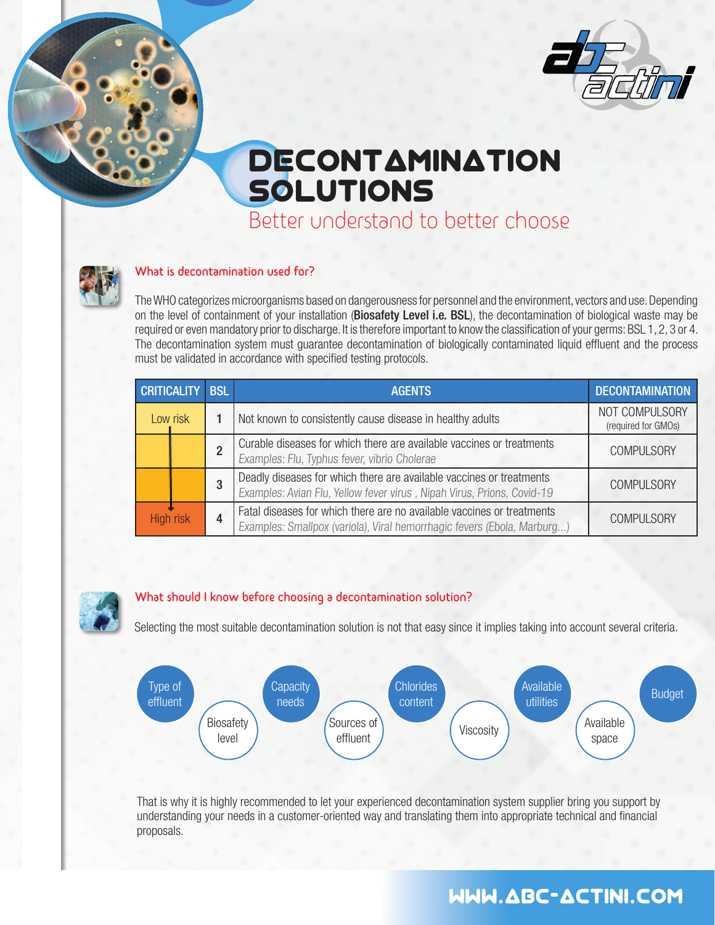

# **DECONTAMINATION** SOLUTIONS

Better understand to better choose



#### **What is decontamination used for?**

The WHO categorizes microorganisms based on dangerousness for personnel and the environment, vectors and use. Depending on the level of containment of your installation (Biosafety Level i.e. BSL), the decontamination of biological waste may be required or even mandatory prior to discharge. It is therefore important to know the classification of your germs: BSL 1, 2, 3 or 4. The decontamination system must guarantee decontamination of biologically contaminated liquid effluent and the process must be validated in accordance with specified testing protocols.

| CRITICALITY BSL |  | <b>AGENTS</b>                                                                                                                                     | <b>DECONTAMINATION</b>                |
|-----------------|--|---------------------------------------------------------------------------------------------------------------------------------------------------|---------------------------------------|
| Low risk        |  | Not known to consistently cause disease in healthy adults                                                                                         | NOT COMPULSORY<br>(required for GMOs) |
|                 |  | Curable diseases for which there are available vaccines or treatments<br>Examples: Flu, Typhus fever, vibrio Cholerae                             | <b>COMPULSORY</b>                     |
|                 |  | Deadly diseases for which there are available vaccines or treatments<br>Examples: Avian Flu, Yellow fever virus, Nipah Virus, Prions, Covid-19    | <b>COMPULSORY</b>                     |
| High risk       |  | Fatal diseases for which there are no available vaccines or treatments<br>Examples: Smallpox (variola), Viral hemorrhagic fevers (Ebola, Marburg) | <b>COMPULSORY</b>                     |

#### **What should I know before choosing a decontamination solution?**

Selecting the most suitable decontamination solution is not that easy since it implies taking into account several criteria.



That is why it is highly recommended to let your experienced decontamination system supplier bring you support by understanding your needs in a customer-oriented way and translating them into appropriate technical and financial proposals.

## WWW.abc-ACTINI.COM